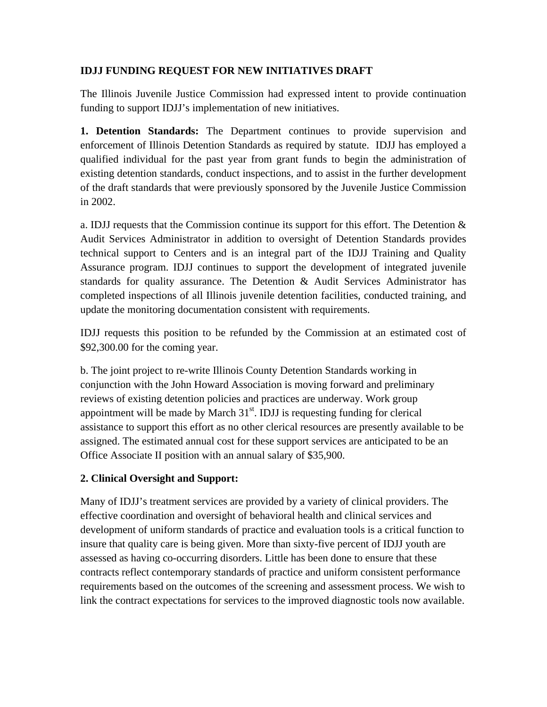#### **IDJJ FUNDING REQUEST FOR NEW INITIATIVES DRAFT**

The Illinois Juvenile Justice Commission had expressed intent to provide continuation funding to support IDJJ's implementation of new initiatives.

**1. Detention Standards:** The Department continues to provide supervision and enforcement of Illinois Detention Standards as required by statute. IDJJ has employed a qualified individual for the past year from grant funds to begin the administration of existing detention standards, conduct inspections, and to assist in the further development of the draft standards that were previously sponsored by the Juvenile Justice Commission in 2002.

a. IDJJ requests that the Commission continue its support for this effort. The Detention  $\&$ Audit Services Administrator in addition to oversight of Detention Standards provides technical support to Centers and is an integral part of the IDJJ Training and Quality Assurance program. IDJJ continues to support the development of integrated juvenile standards for quality assurance. The Detention  $\&$  Audit Services Administrator has completed inspections of all Illinois juvenile detention facilities, conducted training, and update the monitoring documentation consistent with requirements.

IDJJ requests this position to be refunded by the Commission at an estimated cost of \$92,300.00 for the coming year.

b. The joint project to re-write Illinois County Detention Standards working in conjunction with the John Howard Association is moving forward and preliminary reviews of existing detention policies and practices are underway. Work group appointment will be made by March  $31<sup>st</sup>$ . IDJJ is requesting funding for clerical assistance to support this effort as no other clerical resources are presently available to be assigned. The estimated annual cost for these support services are anticipated to be an Office Associate II position with an annual salary of \$35,900.

## **2. Clinical Oversight and Support:**

Many of IDJJ's treatment services are provided by a variety of clinical providers. The effective coordination and oversight of behavioral health and clinical services and development of uniform standards of practice and evaluation tools is a critical function to insure that quality care is being given. More than sixty-five percent of IDJJ youth are assessed as having co-occurring disorders. Little has been done to ensure that these contracts reflect contemporary standards of practice and uniform consistent performance requirements based on the outcomes of the screening and assessment process. We wish to link the contract expectations for services to the improved diagnostic tools now available.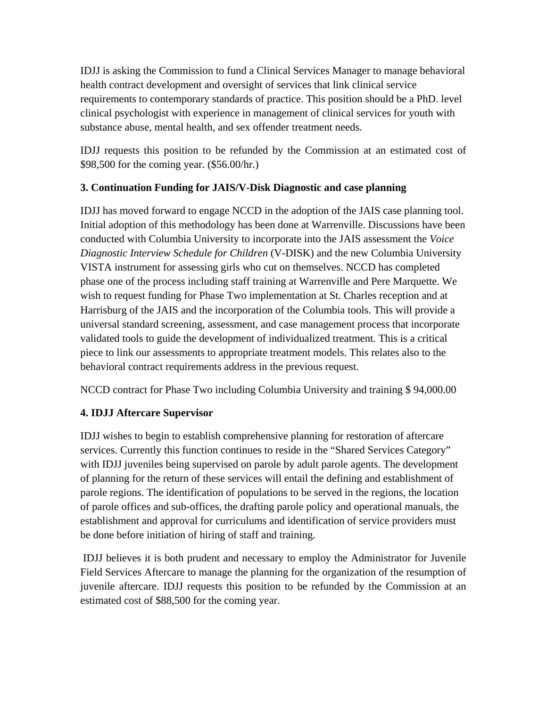IDJJ is asking the Commission to fund a Clinical Services Manager to manage behavioral health contract development and oversight of services that link clinical service requirements to contemporary standards of practice. This position should be a PhD. level clinical psychologist with experience in management of clinical services for youth with substance abuse, mental health, and sex offender treatment needs.

IDJJ requests this position to be refunded by the Commission at an estimated cost of \$98,500 for the coming year. (\$56.00/hr.)

## **3. Continuation Funding for JAIS/V-Disk Diagnostic and case planning**

IDJJ has moved forward to engage NCCD in the adoption of the JAIS case planning tool. Initial adoption of this methodology has been done at Warrenville. Discussions have been conducted with Columbia University to incorporate into the JAIS assessment the *Voice Diagnostic Interview Schedule for Children* (V-DISK) and the new Columbia University VISTA instrument for assessing girls who cut on themselves. NCCD has completed phase one of the process including staff training at Warrenville and Pere Marquette. We wish to request funding for Phase Two implementation at St. Charles reception and at Harrisburg of the JAIS and the incorporation of the Columbia tools. This will provide a universal standard screening, assessment, and case management process that incorporate validated tools to guide the development of individualized treatment. This is a critical piece to link our assessments to appropriate treatment models. This relates also to the behavioral contract requirements address in the previous request.

NCCD contract for Phase Two including Columbia University and training \$ 94,000.00

## **4. IDJJ Aftercare Supervisor**

IDJJ wishes to begin to establish comprehensive planning for restoration of aftercare services. Currently this function continues to reside in the "Shared Services Category" with IDJJ juveniles being supervised on parole by adult parole agents. The development of planning for the return of these services will entail the defining and establishment of parole regions. The identification of populations to be served in the regions, the location of parole offices and sub-offices, the drafting parole policy and operational manuals, the establishment and approval for curriculums and identification of service providers must be done before initiation of hiring of staff and training.

 IDJJ believes it is both prudent and necessary to employ the Administrator for Juvenile Field Services Aftercare to manage the planning for the organization of the resumption of juvenile aftercare. IDJJ requests this position to be refunded by the Commission at an estimated cost of \$88,500 for the coming year.